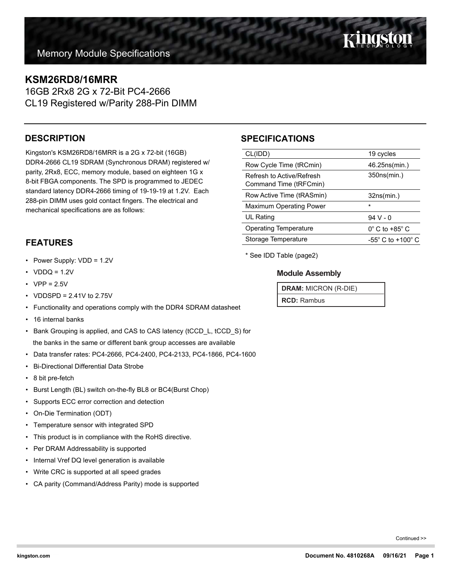Kingston

## **KSM26RD8/16MRR**

16GB 2Rx8 2G x 72-Bit PC4-2666 CL19 Registered w/Parity 288-Pin DIMM

#### **DESCRIPTION**

Kingston's KSM26RD8/16MRR is a 2G x 72-bit (16GB) DDR4-2666 CL19 SDRAM (Synchronous DRAM) registered w/ parity, 2Rx8, ECC, memory module, based on eighteen 1G x 8-bit FBGA components. The SPD is programmed to JEDEC standard latency DDR4-2666 timing of 19-19-19 at 1.2V. Each 288-pin DIMM uses gold contact fingers. The electrical and mechanical specifications are as follows:

#### **FEATURES**

- Power Supply: VDD = 1.2V
- $VDDQ = 1.2V$
- $VPP = 2.5V$
- VDDSPD =  $2.41V$  to  $2.75V$
- Functionality and operations comply with the DDR4 SDRAM datasheet
- 16 internal banks
- Bank Grouping is applied, and CAS to CAS latency (tCCD\_L, tCCD\_S) for the banks in the same or different bank group accesses are available
- Data transfer rates: PC4-2666, PC4-2400, PC4-2133, PC4-1866, PC4-1600
- Bi-Directional Differential Data Strobe
- 8 bit pre-fetch
- Burst Length (BL) switch on-the-fly BL8 or BC4(Burst Chop)
- Supports ECC error correction and detection
- On-Die Termination (ODT)
- Temperature sensor with integrated SPD
- This product is in compliance with the RoHS directive.
- Per DRAM Addressability is supported
- Internal Vref DQ level generation is available
- Write CRC is supported at all speed grades
- CA parity (Command/Address Parity) mode is supported

### **SPECIFICATIONS**

| CL(IDD)                                             | 19 cycles                           |  |
|-----------------------------------------------------|-------------------------------------|--|
| Row Cycle Time (tRCmin)                             | 46.25ns(min.)                       |  |
| Refresh to Active/Refresh<br>Command Time (tRFCmin) | 350ns(min.)                         |  |
| Row Active Time (tRASmin)                           | 32ns(min.)                          |  |
| <b>Maximum Operating Power</b>                      | $\star$                             |  |
| UL Rating                                           | $94V - 0$                           |  |
| <b>Operating Temperature</b>                        | $0^\circ$ C to +85 $^\circ$ C       |  |
| Storage Temperature                                 | $-55^{\circ}$ C to $+100^{\circ}$ C |  |
|                                                     |                                     |  |

\* See IDD Table (page2)

#### **Module Assembly**

**DRAM:** MICRON (R-DIE)

**RCD:** Rambus

Continued >>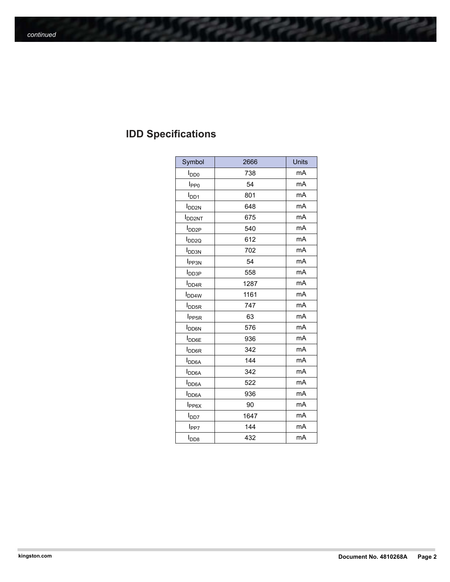# **IDD Specifications**

| Symbol                   | 2666 | Units |
|--------------------------|------|-------|
| <b>I</b> <sub>DD0</sub>  | 738  | mA    |
| I <sub>PP0</sub>         | 54   | mA    |
| $I_{DD1}$                | 801  | mA    |
| I <sub>DD2N</sub>        | 648  | mA    |
| <b>I</b> DD2NT           | 675  | mA    |
| $I_{DD2P}$               | 540  | mA    |
| I <sub>DD2Q</sub>        | 612  | mA    |
| <b>I</b> <sub>DD3N</sub> | 702  | mA    |
| <b>I</b> PP3N            | 54   | mA    |
| <b>I</b> <sub>DD3P</sub> | 558  | mA    |
| <b>I</b> <sub>DD4R</sub> | 1287 | mA    |
| <b>I</b> <sub>DD4W</sub> | 1161 | mA    |
| <b>I</b> <sub>DD5R</sub> | 747  | mA    |
| <b>I</b> <sub>PP5R</sub> | 63   | mA    |
| <b>I</b> <sub>DD6N</sub> | 576  | mA    |
| <b>I</b> <sub>DD6E</sub> | 936  | mA    |
| <b>I</b> <sub>DD6R</sub> | 342  | mA    |
| <b>I</b> <sub>DD6A</sub> | 144  | mA    |
| <b>I</b> <sub>DD6A</sub> | 342  | mA    |
| <b>I</b> <sub>DD6A</sub> | 522  | mA    |
| <b>I</b> <sub>DD6A</sub> | 936  | mA    |
| $I_{PP6X}$               | 90   | mA    |
| <b>I</b> <sub>DD7</sub>  | 1647 | mA    |
| l <sub>PP7</sub>         | 144  | mA    |
| l <sub>DD8</sub>         | 432  | mA    |